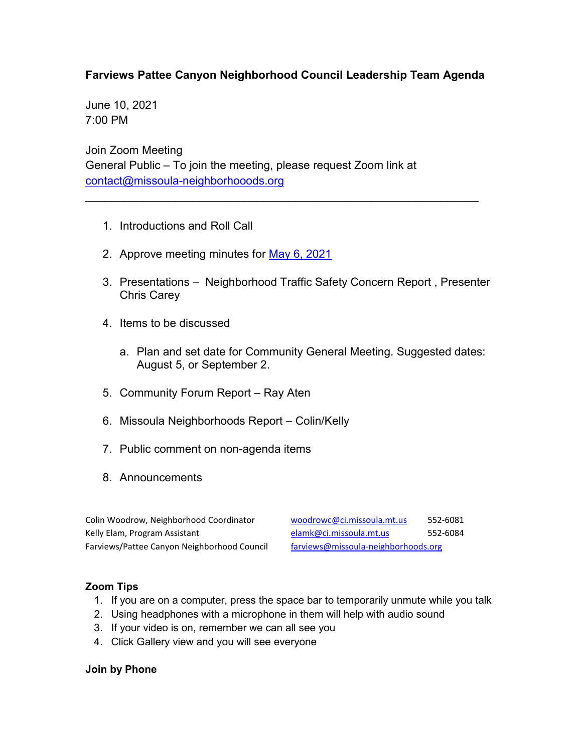## **Farviews Pattee Canyon Neighborhood Council Leadership Team Agenda**

\_\_\_\_\_\_\_\_\_\_\_\_\_\_\_\_\_\_\_\_\_\_\_\_\_\_\_\_\_\_\_\_\_\_\_\_\_\_\_\_\_\_\_\_\_\_\_\_\_\_\_\_\_\_\_\_\_\_\_\_\_\_

June 10, 2021 7:00 PM

Join Zoom Meeting General Public – To join the meeting, please request Zoom link at [contact@missoula-neighborhooods.org](mailto:contact@missoula-neighborhooods.org)

- 1. Introductions and Roll Call
- 2. Approve meeting minutes for [May 6, 2021](https://www.ci.missoula.mt.us/Archive.aspx?ADID=15981)
- 3. Presentations Neighborhood Traffic Safety Concern Report , Presenter Chris Carey
- 4. Items to be discussed
	- a. Plan and set date for Community General Meeting. Suggested dates: August 5, or September 2.
- 5. Community Forum Report Ray Aten
- 6. Missoula Neighborhoods Report Colin/Kelly
- 7. Public comment on non-agenda items
- 8. Announcements

| Colin Woodrow, Neighborhood Coordinator     | woodrow  |
|---------------------------------------------|----------|
| Kelly Elam, Program Assistant               | elamk@   |
| Farviews/Pattee Canyon Neighborhood Council | farviews |

**NECOLIN WOODER COORDING** S52-6081 kelly Elamissoula.mt.us 552-6084 @missoula-neighborhoods.org

## **Zoom Tips**

- 1. If you are on a computer, press the space bar to temporarily unmute while you talk
- 2. Using headphones with a microphone in them will help with audio sound
- 3. If your video is on, remember we can all see you
- 4. Click Gallery view and you will see everyone

## **Join by Phone**